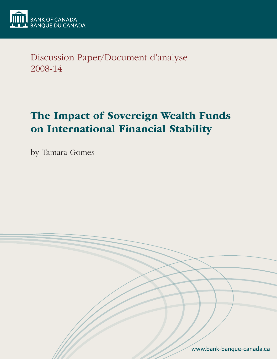

Discussion Paper/Document d'analyse 2008-14

# The Impact of Sovereign Wealth Funds on International Financial Stability

by Tamara Gomes

www.bank-banque-canada.ca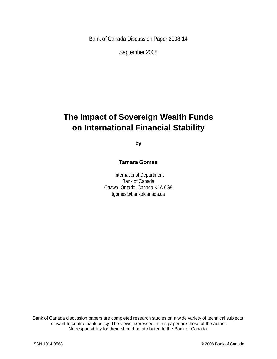Bank of Canada Discussion Paper 2008-14

September 2008

## **The Impact of Sovereign Wealth Funds on International Financial Stability**

**by**

**Tamara Gomes**

International Department Bank of Canada Ottawa, Ontario, Canada K1A 0G9 tgomes@bankofcanada.ca

Bank of Canada discussion papers are completed research studies on a wide variety of technical subjects relevant to central bank policy. The views expressed in this paper are those of the author. No responsibility for them should be attributed to the Bank of Canada.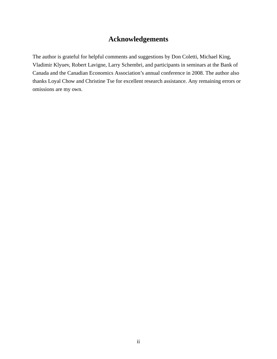## **Acknowledgements**

The author is grateful for helpful comments and suggestions by Don Coletti, Michael King, Vladimir Klyuev, Robert Lavigne, Larry Schembri, and participants in seminars at the Bank of Canada and the Canadian Economics Association's annual conference in 2008. The author also thanks Loyal Chow and Christine Tse for excellent research assistance. Any remaining errors or omissions are my own.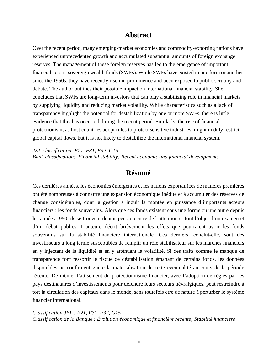#### **Abstract**

Over the recent period, many emerging-market economies and commodity-exporting nations have experienced unprecedented growth and accumulated substantial amounts of foreign exchange reserves. The management of these foreign reserves has led to the emergence of important financial actors: sovereign wealth funds (SWFs). While SWFs have existed in one form or another since the 1950s, they have recently risen in prominence and been exposed to public scrutiny and debate. The author outlines their possible impact on international financial stability. She concludes that SWFs are long-term investors that can play a stabilizing role in financial markets by supplying liquidity and reducing market volatility. While characteristics such as a lack of transparency highlight the potential for destabilization by one or more SWFs, there is little evidence that this has occurred during the recent period. Similarly, the rise of financial protectionism, as host countries adopt rules to protect sensitive industries, might unduly restrict global capital flows, but it is not likely to destabilize the international financial system.

*JEL classification: F21, F31, F32, G15 Bank classification: Financial stability; Recent economic and financial developments*

## **Résumé**

Ces dernières années, les économies émergentes et les nations exportatrices de matières premières ont été nombreuses à connaître une expansion économique inédite et à accumuler des réserves de change considérables, dont la gestion a induit la montée en puissance d'importants acteurs financiers : les fonds souverains. Alors que ces fonds existent sous une forme ou une autre depuis les années 1950, ils se trouvent depuis peu au centre de l'attention et font l'objet d'un examen et d'un débat publics. L'auteure décrit brièvement les effets que pourraient avoir les fonds souverains sur la stabilité financière internationale. Ces derniers, conclut-elle, sont des investisseurs à long terme susceptibles de remplir un rôle stabilisateur sur les marchés financiers en y injectant de la liquidité et en y atténuant la volatilité. Si des traits comme le manque de transparence font ressortir le risque de déstabilisation émanant de certains fonds, les données disponibles ne confirment guère la matérialisation de cette éventualité au cours de la période récente. De même, l'attisement du protectionnisme financier, avec l'adoption de règles par les pays destinataires d'investissements pour défendre leurs secteurs névralgiques, peut restreindre à tort la circulation des capitaux dans le monde, sans toutefois être de nature à perturber le système financier international.

*Classification JEL : F21, F31, F32, G15 Classification de la Banque : Évolution économique et financière récente; Stabilité financière*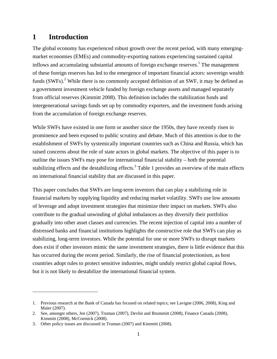## **1 Introduction**

The global economy has experienced robust growth over the recent period, with many emergingmarket economies (EMEs) and commodity-exporting nations experiencing sustained capital inflows and accumulating substantial amounts of foreign exchange reserves.<sup>1</sup> The management of these foreign reserves has led to the emergence of important financial actors: sovereign wealth funds  $(SWFs)$ .<sup>2</sup> While there is no commonly accepted definition of an SWF, it may be defined as a government investment vehicle funded by foreign exchange assets and managed separately from official reserves (Kimmitt 2008). This definition includes the stabilization funds and intergenerational savings funds set up by commodity exporters, and the investment funds arising from the accumulation of foreign exchange reserves.

While SWFs have existed in one form or another since the 1950s, they have recently risen in prominence and been exposed to public scrutiny and debate. Much of this attention is due to the establishment of SWFs by systemically important countries such as China and Russia, which has raised concerns about the role of state actors in global markets. The objective of this paper is to outline the issues SWFs may pose for international financial stability – both the potential stabilizing effects and the destabilizing effects.<sup>3</sup> Table 1 provides an overview of the main effects on international financial stability that are discussed in this paper.

This paper concludes that SWFs are long-term investors that can play a stabilizing role in financial markets by supplying liquidity and reducing market volatility. SWFs use low amounts of leverage and adopt investment strategies that minimize their impact on markets. SWFs also contribute to the gradual unwinding of global imbalances as they diversify their portfolios gradually into other asset classes and currencies. The recent injection of capital into a number of distressed banks and financial institutions highlights the constructive role that SWFs can play as stabilizing, long-term investors. While the potential for one or more SWFs to disrupt markets does exist if other investors mimic the same investment strategies, there is little evidence that this has occurred during the recent period. Similarly, the rise of financial protectionism, as host countries adopt rules to protect sensitive industries, might unduly restrict global capital flows, but it is not likely to destabilize the international financial system.

 $\overline{a}$ 

<sup>1.</sup> Previous research at the Bank of Canada has focused on related topics; see Lavigne (2006, 2008), King and Maier (2007).

<sup>2.</sup> See, amongst others, Jen (2007), Truman (2007), Devlin and Brummitt (2008), Finance Canada (2008), Kimmitt (2008), McCormick (2008).

<sup>3.</sup> Other policy issues are discussed in Truman (2007) and Kimmitt (2008).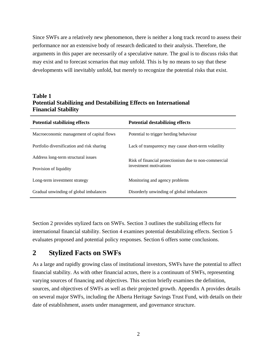Since SWFs are a relatively new phenomenon, there is neither a long track record to assess their performance nor an extensive body of research dedicated to their analysis. Therefore, the arguments in this paper are necessarily of a speculative nature. The goal is to discuss risks that may exist and to forecast scenarios that may unfold. This is by no means to say that these developments will inevitably unfold, but merely to recognize the potential risks that exist.

#### **Table 1 Potential Stabilizing and Destabilizing Effects on International Financial Stability**

| <b>Potential stabilizing effects</b>       | <b>Potential destabilizing effects</b>                |  |  |
|--------------------------------------------|-------------------------------------------------------|--|--|
| Macroeconomic management of capital flows  | Potential to trigger herding behaviour                |  |  |
| Portfolio diversification and risk sharing | Lack of transparency may cause short-term volatility  |  |  |
| Address long-term structural issues        | Risk of financial protectionism due to non-commercial |  |  |
| Provision of liquidity                     | investment motivations                                |  |  |
| Long-term investment strategy              | Monitoring and agency problems                        |  |  |
| Gradual unwinding of global imbalances     | Disorderly unwinding of global imbalances             |  |  |

Section 2 provides stylized facts on SWFs. Section 3 outlines the stabilizing effects for international financial stability. Section 4 examines potential destabilizing effects. Section 5 evaluates proposed and potential policy responses. Section 6 offers some conclusions.

## **2 Stylized Facts on SWFs**

As a large and rapidly growing class of institutional investors, SWFs have the potential to affect financial stability. As with other financial actors, there is a continuum of SWFs, representing varying sources of financing and objectives. This section briefly examines the definition, sources, and objectives of SWFs as well as their projected growth. Appendix A provides details on several major SWFs, including the Alberta Heritage Savings Trust Fund, with details on their date of establishment, assets under management, and governance structure.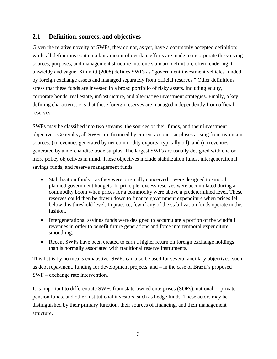#### **2.1 Definition, sources, and objectives**

Given the relative novelty of SWFs, they do not, as yet, have a commonly accepted definition; while all definitions contain a fair amount of overlap, efforts are made to incorporate the varying sources, purposes, and management structure into one standard definition, often rendering it unwieldy and vague. Kimmitt (2008) defines SWFs as "government investment vehicles funded by foreign exchange assets and managed separately from official reserves." Other definitions stress that these funds are invested in a broad portfolio of risky assets, including equity, corporate bonds, real estate, infrastructure, and alternative investment strategies. Finally, a key defining characteristic is that these foreign reserves are managed independently from official reserves.

SWFs may be classified into two streams: the sources of their funds, and their investment objectives. Generally, all SWFs are financed by current account surpluses arising from two main sources: (i) revenues generated by net commodity exports (typically oil), and (ii) revenues generated by a merchandise trade surplus. The largest SWFs are usually designed with one or more policy objectives in mind. These objectives include stabilization funds, intergenerational savings funds, and reserve management funds:

- Stabilization funds as they were originally conceived were designed to smooth planned government budgets. In principle, excess reserves were accumulated during a commodity boom when prices for a commodity were above a predetermined level. These reserves could then be drawn down to finance government expenditure when prices fell below this threshold level. In practice, few if any of the stabilization funds operate in this fashion.
- Intergenerational savings funds were designed to accumulate a portion of the windfall revenues in order to benefit future generations and force intertemporal expenditure smoothing.
- Recent SWFs have been created to earn a higher return on foreign exchange holdings than is normally associated with traditional reserve instruments.

This list is by no means exhaustive. SWFs can also be used for several ancillary objectives, such as debt repayment, funding for development projects, and – in the case of Brazil's proposed SWF – exchange rate intervention.

It is important to differentiate SWFs from state-owned enterprises (SOEs), national or private pension funds, and other institutional investors, such as hedge funds. These actors may be distinguished by their primary function, their sources of financing, and their management structure.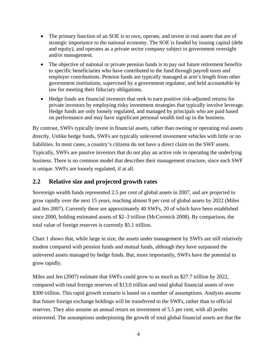- The primary function of an SOE is to own, operate, and invest in real assets that are of strategic importance to the national economy. The SOE is funded by issuing capital (debt and equity), and operates as a private sector company subject to government oversight and/or management.
- The objective of national or private pension funds is to pay out future retirement benefits to specific beneficiaries who have contributed to the fund through payroll taxes and employer contributions. Pension funds are typically managed at arm's length from other government institutions, supervised by a government regulator, and held accountable by law for meeting their fiduciary obligations.
- Hedge funds are financial investors that seek to earn positive risk-adjusted returns for private investors by employing risky investment strategies that typically involve leverage. Hedge funds are only loosely regulated, and managed by principals who are paid based on performance and may have significant personal wealth tied up in the business.

By contrast, SWFs typically invest in financial assets, rather than owning or operating real assets directly. Unlike hedge funds, SWFs are typically unlevered investment vehicles with little or no liabilities. In most cases, a country's citizens do not have a direct claim on the SWF assets. Typically, SWFs are passive investors that do not play an active role in operating the underlying business. There is no common model that describes their management structure, since each SWF is unique. SWFs are loosely regulated, if at all.

## **2.2 Relative size and projected growth rates**

Sovereign wealth funds represented 2.5 per cent of global assets in 2007, and are projected to grow rapidly over the next 15 years, reaching almost 9 per cent of global assets by 2022 (Miles and Jen 2007). Currently there are approximately 40 SWFs, 20 of which have been established since 2000, holding estimated assets of \$2–3 trillion (McCormick 2008). By comparison, the total value of foreign reserves is currently \$5.1 trillion.

Chart 1 shows that, while large in size, the assets under management by SWFs are still relatively modest compared with pension funds and mutual funds, although they have surpassed the unlevered assets managed by hedge funds. But, more importantly, SWFs have the potential to grow rapidly.

Miles and Jen (2007) estimate that SWFs could grow to as much as \$27.7 trillion by 2022, compared with total foreign reserves of \$13.0 trillion and total global financial assets of over \$300 trillion. This rapid growth scenario is based on a number of assumptions. Analysts assume that future foreign exchange holdings will be transferred to the SWFs, rather than to official reserves. They also assume an annual return on investment of 5.5 per cent, with all profits reinvested. The assumptions underpinning the growth of total global financial assets are that the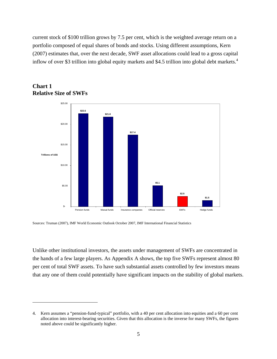current stock of \$100 trillion grows by 7.5 per cent, which is the weighted average return on a portfolio composed of equal shares of bonds and stocks. Using different assumptions, Kern (2007) estimates that, over the next decade, SWF asset allocations could lead to a gross capital inflow of over \$3 trillion into global equity markets and \$4.5 trillion into global debt markets.<sup>4</sup>



#### **Chart 1 Relative Size of SWFs**

 $\overline{a}$ 

Unlike other institutional investors, the assets under management of SWFs are concentrated in the hands of a few large players. As Appendix A shows, the top five SWFs represent almost 80 per cent of total SWF assets. To have such substantial assets controlled by few investors means that any one of them could potentially have significant impacts on the stability of global markets.

Sources: Truman (2007), IMF World Economic Outlook October 2007, IMF International Financial Statistics

<sup>4.</sup> Kern assumes a "pension-fund-typical" portfolio, with a 40 per cent allocation into equities and a 60 per cent allocation into interest-bearing securities. Given that this allocation is the inverse for many SWFs, the figures noted above could be significantly higher.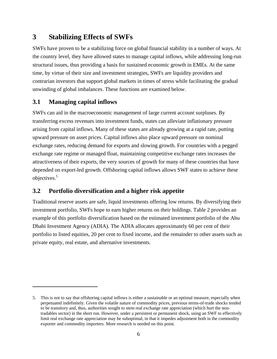## **3 Stabilizing Effects of SWFs**

SWFs have proven to be a stabilizing force on global financial stability in a number of ways. At the country level, they have allowed states to manage capital inflows, while addressing long-run structural issues, thus providing a basis for sustained economic growth in EMEs. At the same time, by virtue of their size and investment strategies, SWFs are liquidity providers and contrarian investors that support global markets in times of stress while facilitating the gradual unwinding of global imbalances. These functions are examined below.

## **3.1 Managing capital inflows**

 $\overline{a}$ 

SWFs can aid in the macroeconomic management of large current account surpluses. By transferring excess revenues into investment funds, states can alleviate inflationary pressure arising from capital inflows. Many of these states are already growing at a rapid rate, putting upward pressure on asset prices. Capital inflows also place upward pressure on nominal exchange rates, reducing demand for exports and slowing growth. For countries with a pegged exchange rate regime or managed float, maintaining competitive exchange rates increases the attractiveness of their exports, the very sources of growth for many of these countries that have depended on export-led growth. Offshoring capital inflows allows SWF states to achieve these objectives.<sup>5</sup>

## **3.2 Portfolio diversification and a higher risk appetite**

Traditional reserve assets are safe, liquid investments offering low returns. By diversifying their investment portfolio, SWFs hope to earn higher returns on their holdings. Table 2 provides an example of this portfolio diversification based on the estimated investment portfolio of the Abu Dhabi Investment Agency (ADIA). The ADIA allocates approximately 60 per cent of their portfolio to listed equities, 20 per cent to fixed income, and the remainder to other assets such as private equity, real estate, and alternative investments.

<sup>5.</sup> This is not to say that offshoring capital inflows is either a sustainable or an optimal measure, especially when perpetuated indefinitely. Given the volatile nature of commodity prices, previous terms-of-trade shocks tended to be transitory and, thus, authorities sought to stem real exchange rate appreciation (which hurt the nontradables sector) in the short run. However, under a persistent or permanent shock, using an SWF to effectively limit real exchange rate appreciation may be suboptimal, in that it impedes adjustment both in the commodity exporter and commodity importers. More research is needed on this point.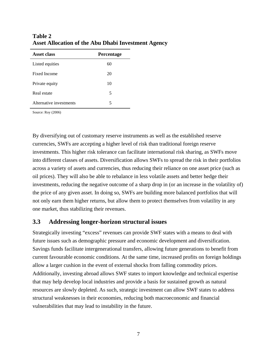| Asset class             | <b>Percentage</b> |  |  |
|-------------------------|-------------------|--|--|
| Listed equities         | 60                |  |  |
| <b>Fixed Income</b>     | 20                |  |  |
| Private equity          | 10                |  |  |
| Real estate             | 5                 |  |  |
| Alternative investments | 5                 |  |  |

**Table 2 Asset Allocation of the Abu Dhabi Investment Agency** 

Source: Roy (2006)

By diversifying out of customary reserve instruments as well as the established reserve currencies, SWFs are accepting a higher level of risk than traditional foreign reserve investments. This higher risk tolerance can facilitate international risk sharing, as SWFs move into different classes of assets. Diversification allows SWFs to spread the risk in their portfolios across a variety of assets and currencies, thus reducing their reliance on one asset price (such as oil prices). They will also be able to rebalance in less volatile assets and better hedge their investments, reducing the negative outcome of a sharp drop in (or an increase in the volatility of) the price of any given asset. In doing so, SWFs are building more balanced portfolios that will not only earn them higher returns, but allow them to protect themselves from volatility in any one market, thus stabilizing their revenues.

#### **3.3 Addressing longer-horizon structural issues**

Strategically investing "excess" revenues can provide SWF states with a means to deal with future issues such as demographic pressure and economic development and diversification. Savings funds facilitate intergenerational transfers, allowing future generations to benefit from current favourable economic conditions. At the same time, increased profits on foreign holdings allow a larger cushion in the event of external shocks from falling commodity prices. Additionally, investing abroad allows SWF states to import knowledge and technical expertise that may help develop local industries and provide a basis for sustained growth as natural resources are slowly depleted. As such, strategic investment can allow SWF states to address structural weaknesses in their economies, reducing both macroeconomic and financial vulnerabilities that may lead to instability in the future.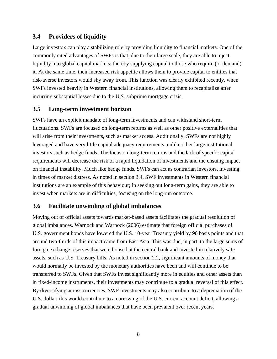#### **3.4 Providers of liquidity**

Large investors can play a stabilizing role by providing liquidity to financial markets. One of the commonly cited advantages of SWFs is that, due to their large scale, they are able to inject liquidity into global capital markets, thereby supplying capital to those who require (or demand) it. At the same time, their increased risk appetite allows them to provide capital to entities that risk-averse investors would shy away from. This function was clearly exhibited recently, when SWFs invested heavily in Western financial institutions, allowing them to recapitalize after incurring substantial losses due to the U.S. subprime mortgage crisis.

#### **3.5 Long-term investment horizon**

SWFs have an explicit mandate of long-term investments and can withstand short-term fluctuations. SWFs are focused on long-term returns as well as other positive externalities that will arise from their investments, such as market access. Additionally, SWFs are not highly leveraged and have very little capital adequacy requirements, unlike other large institutional investors such as hedge funds. The focus on long-term returns and the lack of specific capital requirements will decrease the risk of a rapid liquidation of investments and the ensuing impact on financial instability. Much like hedge funds, SWFs can act as contrarian investors, investing in times of market distress. As noted in section 3.4, SWF investments in Western financial institutions are an example of this behaviour; in seeking out long-term gains, they are able to invest when markets are in difficulties, focusing on the long-run outcome.

#### **3.6 Facilitate unwinding of global imbalances**

Moving out of official assets towards market-based assets facilitates the gradual resolution of global imbalances. Warnock and Warnock (2006) estimate that foreign official purchases of U.S. government bonds have lowered the U.S. 10-year Treasury yield by 90 basis points and that around two-thirds of this impact came from East Asia. This was due, in part, to the large sums of foreign exchange reserves that were housed at the central bank and invested in relatively safe assets, such as U.S. Treasury bills. As noted in section 2.2, significant amounts of money that would normally be invested by the monetary authorities have been and will continue to be transferred to SWFs. Given that SWFs invest significantly more in equities and other assets than in fixed-income instruments, their investments may contribute to a gradual reversal of this effect. By diversifying across currencies, SWF investments may also contribute to a depreciation of the U.S. dollar; this would contribute to a narrowing of the U.S. current account deficit, allowing a gradual unwinding of global imbalances that have been prevalent over recent years.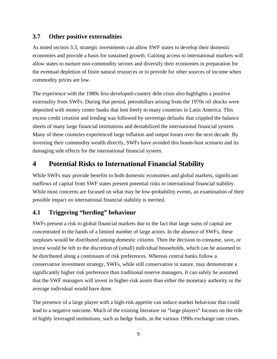#### **3.7 Other positive externalities**

As noted section 3.3, strategic investments can allow SWF states to develop their domestic economies and provide a basis for sustained growth. Gaining access to international markets will allow states to nurture non-commodity sectors and diversify their economies in preparation for the eventual depletion of finite natural resources or to provide for other sources of income when commodity prices are low.

The experience with the 1980s less-developed-country debt crisis also highlights a positive externality from SWFs. During that period, petrodollars arising from the 1970s oil shocks were deposited with money center banks that lent freely to many countries in Latin America. This excess credit creation and lending was followed by sovereign defaults that crippled the balance sheets of many large financial institutions and destabilized the international financial system. Many of these countries experienced large inflation and output losses over the next decade. By investing their commodity wealth directly, SWFs have avoided this boom-bust scenario and its damaging side effects for the international financial system.

## **4 Potential Risks to International Financial Stability**

While SWFs may provide benefits to both domestic economies and global markets, significant outflows of capital from SWF states present potential risks to international financial stability. While most concerns are focused on what may be low-probability events, an examination of their possible impact on international financial stability is merited.

#### **4.1 Triggering "herding" behaviour**

SWFs present a risk to global financial markets due to the fact that large sums of capital are concentrated in the hands of a limited number of large actors. In the absence of SWFs, these surpluses would be distributed among domestic citizens. Then the decision to consume, save, or invest would be left to the discretion of (small) individual households, which can be assumed to be distributed along a continuum of risk preferences. Whereas central banks follow a conservative investment strategy, SWFs, while still conservative in nature, may demonstrate a significantly higher risk preference than traditional reserve managers. It can safely be assumed that the SWF managers will invest in higher-risk assets than either the monetary authority or the average individual would have done.

The presence of a large player with a high-risk appetite can induce market behaviour that could lead to a negative outcome. Much of the existing literature on "large players" focuses on the role of highly leveraged institutions, such as hedge funds, in the various 1990s exchange rate crises.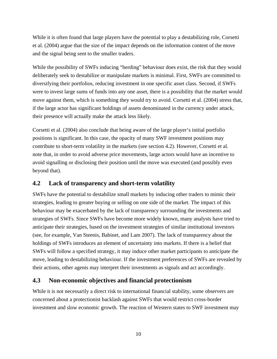While it is often found that large players have the potential to play a destabilizing role, Corsetti et al. (2004) argue that the size of the impact depends on the information content of the move and the signal being sent to the smaller traders.

While the possibility of SWFs inducing "herding" behaviour does exist, the risk that they would deliberately seek to destabilize or manipulate markets is minimal. First, SWFs are committed to diversifying their portfolios, reducing investment in one specific asset class. Second, if SWFs were to invest large sums of funds into any one asset, there is a possibility that the market would move against them, which is something they would try to avoid. Corsetti et al. (2004) stress that, if the large actor has significant holdings of assets denominated in the currency under attack, their presence will actually make the attack less likely.

Corsetti et al. (2004) also conclude that being aware of the large player's initial portfolio positions is significant. In this case, the opacity of many SWF investment positions may contribute to short-term volatility in the markets (see section 4.2). However, Corsetti et al. note that, in order to avoid adverse price movements, large actors would have an incentive to avoid signalling or disclosing their position until the move was executed (and possibly even beyond that).

#### **4.2 Lack of transparency and short-term volatility**

SWFs have the potential to destabilize small markets by inducing other traders to mimic their strategies, leading to greater buying or selling on one side of the market. The impact of this behaviour may be exacerbated by the lack of transparency surrounding the investments and strategies of SWFs. Since SWFs have become more widely known, many analysts have tried to anticipate their strategies, based on the investment strategies of similar institutional investors (see, for example, Van Steenis, Babinet, and Lam 2007). The lack of transparency about the holdings of SWFs introduces an element of uncertainty into markets. If there is a belief that SWFs will follow a specified strategy, it may induce other market participants to anticipate the move, leading to destabilizing behaviour. If the investment preferences of SWFs are revealed by their actions, other agents may interpret their investments as signals and act accordingly.

#### **4.3 Non-economic objectives and financial protectionism**

While it is not necessarily a direct risk to international financial stability, some observers are concerned about a protectionist backlash against SWFs that would restrict cross-border investment and slow economic growth. The reaction of Western states to SWF investment may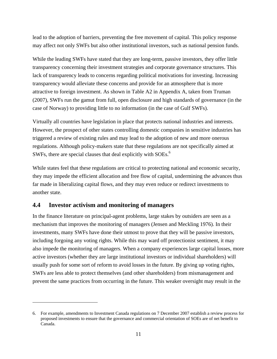lead to the adoption of barriers, preventing the free movement of capital. This policy response may affect not only SWFs but also other institutional investors, such as national pension funds.

While the leading SWFs have stated that they are long-term, passive investors, they offer little transparency concerning their investment strategies and corporate governance structures. This lack of transparency leads to concerns regarding political motivations for investing. Increasing transparency would alleviate these concerns and provide for an atmosphere that is more attractive to foreign investment. As shown in Table A2 in Appendix A, taken from Truman (2007), SWFs run the gamut from full, open disclosure and high standards of governance (in the case of Norway) to providing little to no information (in the case of Gulf SWFs).

Virtually all countries have legislation in place that protects national industries and interests. However, the prospect of other states controlling domestic companies in sensitive industries has triggered a review of existing rules and may lead to the adoption of new and more onerous regulations. Although policy-makers state that these regulations are not specifically aimed at SWFs, there are special clauses that deal explicitly with SOEs.<sup>6</sup>

While states feel that these regulations are critical to protecting national and economic security, they may impede the efficient allocation and free flow of capital, undermining the advances thus far made in liberalizing capital flows, and they may even reduce or redirect investments to another state.

#### **4.4 Investor activism and monitoring of managers**

 $\overline{a}$ 

In the finance literature on principal-agent problems, large stakes by outsiders are seen as a mechanism that improves the monitoring of managers (Jensen and Meckling 1976). In their investments, many SWFs have done their utmost to prove that they will be passive investors, including forgoing any voting rights. While this may ward off protectionist sentiment, it may also impede the monitoring of managers. When a company experiences large capital losses, more active investors (whether they are large institutional investors or individual shareholders) will usually push for some sort of reform to avoid losses in the future. By giving up voting rights, SWFs are less able to protect themselves (and other shareholders) from mismanagement and prevent the same practices from occurring in the future. This weaker oversight may result in the

<sup>6.</sup> For example, amendments to Investment Canada regulations on 7 December 2007 establish a review process for proposed investments to ensure that the governance and commercial orientation of SOEs are of net benefit to Canada.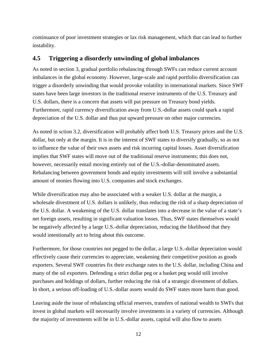continuance of poor investment strategies or lax risk management, which that can lead to further instability.

#### **4.5 Triggering a disorderly unwinding of global imbalances**

As noted in section 3, gradual portfolio rebalancing through SWFs can reduce current account imbalances in the global economy. However, large-scale and rapid portfolio diversification can trigger a disorderly unwinding that would provoke volatility in international markets. Since SWF states have been large investors in the traditional reserve instruments of the U.S. Treasury and U.S. dollars, there is a concern that assets will put pressure on Treasury bond yields. Furthermore, rapid currency diversification away from U.S.-dollar assets could spark a rapid depreciation of the U.S. dollar and thus put upward pressure on other major currencies.

As noted in sction 3.2, diversification will probably affect both U.S. Treasury prices and the U.S. dollar, but only at the margin. It is in the interest of SWF states to diversify gradually, so as not to influence the value of their own assets and risk incurring capital losses. Asset diversification implies that SWF states will move out of the traditional reserve instruments; this does not, however, necessarily entail moving entirely out of the U.S.-dollar-denominated assets. Rebalancing between government bonds and equity investments will still involve a substantial amount of monies flowing into U.S. companies and stock exchanges.

While diversification may also be associated with a weaker U.S. dollar at the margin, a wholesale divestment of U.S. dollars is unlikely, thus reducing the risk of a sharp depreciation of the U.S. dollar. A weakening of the U.S. dollar translates into a decrease in the value of a state's net foreign assets, resulting in significant valuation losses. Thus, SWF states themselves would be negatively affected by a large U.S.-dollar depreciation, reducing the likelihood that they would intentionally act to bring about this outcome.

Furthermore, for those countries not pegged to the dollar, a large U.S.-dollar depreciation would effectively cause their currencies to appreciate, weakening their competitive position as goods exporters. Several SWF countries fix their exchange rates to the U.S. dollar, including China and many of the oil exporters. Defending a strict dollar peg or a basket peg would still involve purchases and holdings of dollars, further reducing the risk of a strategic divestment of dollars. In short, a serious off-loading of U.S.-dollar assets would do SWF states more harm than good.

Leaving aside the issue of rebalancing official reserves, transfers of national wealth to SWFs that invest in global markets will necessarily involve investments in a variety of currencies. Although the majority of investments will be in U.S.-dollar assets, capital will also flow to assets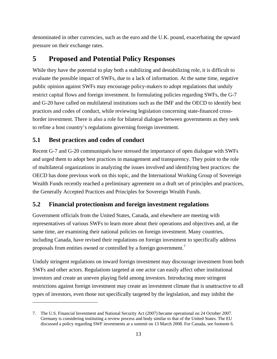denominated in other currencies, such as the euro and the U.K. pound, exacerbating the upward pressure on their exchange rates.

## **5 Proposed and Potential Policy Responses**

While they have the potential to play both a stabilizing and destabilizing role, it is difficult to evaluate the possible impact of SWFs, due to a lack of information. At the same time, negative public opinion against SWFs may encourage policy-makers to adopt regulations that unduly restrict capital flows and foreign investment. In formulating policies regarding SWFs, the G-7 and G-20 have called on multilateral institutions such as the IMF and the OECD to identify best practices and codes of conduct, while reviewing legislation concerning state-financed crossborder investment. There is also a role for bilateral dialogue between governments as they seek to refine a host country's regulations governing foreign investment.

#### **5.1 Best practices and codes of conduct**

 $\overline{a}$ 

Recent G-7 and G-20 communiqués have stressed the importance of open dialogue with SWFs and urged them to adopt best practices in management and transparency. They point to the role of multilateral organizations in analyzing the issues involved and identifying best practices: the OECD has done previous work on this topic, and the International Working Group of Sovereign Wealth Funds recently reached a preliminary agreement on a draft set of principles and practices, the Generally Accepted Practices and Principles for Sovereign Wealth Funds.

#### **5.2 Financial protectionism and foreign investment regulations**

Government officials from the United States, Canada, and elsewhere are meeting with representatives of various SWFs to learn more about their operations and objectives and, at the same time, are examining their national policies on foreign investment. Many countries, including Canada, have revised their regulations on foreign investment to specifically address proposals from entities owned or controlled by a foreign government.<sup>7</sup>

Unduly stringent regulations on inward foreign investment may discourage investment from both SWFs and other actors. Regulations targeted at one actor can easily affect other institutional investors and create an uneven playing field among investors. Introducing more stringent restrictions against foreign investment may create an investment climate that is unattractive to all types of investors, even those not specifically targeted by the legislation, and may inhibit the

<sup>7.</sup> The U.S. Financial Investment and National Security Act (2007) became operational on 24 October 2007. Germany is considering instituting a review process and body similar to that of the United States. The EU discussed a policy regarding SWF investments at a summit on 13 March 2008. For Canada, see footnote 6.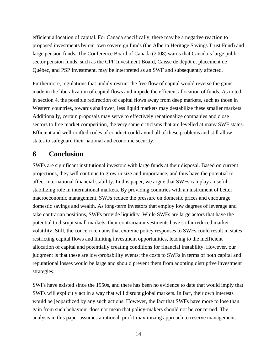efficient allocation of capital. For Canada specifically, there may be a negative reaction to proposed investments by our own sovereign funds (the Alberta Heritage Savings Trust Fund) and large pension funds. The Conference Board of Canada (2008) warns that Canada's large public sector pension funds, such as the CPP Investment Board, Caisse de dépôt et placement de Québec, and PSP Investment, may be interpreted as an SWF and subsequently affected.

Furthermore, regulations that unduly restrict the free flow of capital would reverse the gains made in the liberalization of capital flows and impede the efficient allocation of funds. As noted in section 4, the possible redirection of capital flows away from deep markets, such as those in Western countries, towards shallower, less liquid markets may destabilize these smaller markets. Additionally, certain proposals may serve to effectively renationalize companies and close sectors to free market competition, the very same criticisms that are levelled at many SWF states. Efficient and well-crafted codes of conduct could avoid all of these problems and still allow states to safeguard their national and economic security.

## **6 Conclusion**

SWFs are significant institutional investors with large funds at their disposal. Based on current projections, they will continue to grow in size and importance, and thus have the potential to affect international financial stability. In this paper, we argue that SWFs can play a useful, stabilizing role in international markets. By providing countries with an instrument of better macroeconomic management, SWFs reduce the pressure on domestic prices and encourage domestic savings and wealth. As long-term investors that employ low degrees of leverage and take contrarian positions, SWFs provide liquidity. While SWFs are large actors that have the potential to disrupt small markets, their contrarian investments have so far reduced market volatility. Still, the concern remains that extreme policy responses to SWFs could result in states restricting capital flows and limiting investment opportunities, leading to the inefficient allocation of capital and potentially creating conditions for financial instability. However, our judgment is that these are low-probability events; the costs to SWFs in terms of both capital and reputational losses would be large and should prevent them from adopting disruptive investment strategies.

SWFs have existed since the 1950s, and there has been no evidence to date that would imply that SWFs will explicitly act in a way that will disrupt global markets. In fact, their own interests would be jeopardized by any such actions. However, the fact that SWFs have more to lose than gain from such behaviour does not mean that policy-makers should not be concerned. The analysis in this paper assumes a rational, profit-maximizing approach to reserve management.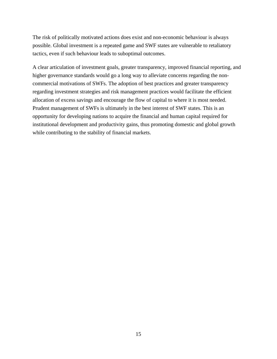The risk of politically motivated actions does exist and non-economic behaviour is always possible. Global investment is a repeated game and SWF states are vulnerable to retaliatory tactics, even if such behaviour leads to suboptimal outcomes.

A clear articulation of investment goals, greater transparency, improved financial reporting, and higher governance standards would go a long way to alleviate concerns regarding the noncommercial motivations of SWFs. The adoption of best practices and greater transparency regarding investment strategies and risk management practices would facilitate the efficient allocation of excess savings and encourage the flow of capital to where it is most needed. Prudent management of SWFs is ultimately in the best interest of SWF states. This is an opportunity for developing nations to acquire the financial and human capital required for institutional development and productivity gains, thus promoting domestic and global growth while contributing to the stability of financial markets.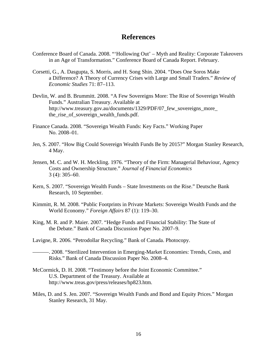#### **References**

- Conference Board of Canada. 2008. "'Hollowing Out' Myth and Reality: Corporate Takeovers in an Age of Transformation." Conference Board of Canada Report. February.
- Corsetti, G., A. Dasgupta, S. Morris, and H. Song Shin. 2004. "Does One Soros Make a Difference? A Theory of Currency Crises with Large and Small Traders." *Review of Economic Studies* 71: 87–113.
- Devlin, W. and B. Brummitt. 2008. "A Few Sovereigns More: The Rise of Sovereign Wealth Funds." Australian Treasury. Available at http://www.treasury.gov.au/documents/1329/PDF/07\_few\_sovereigns\_more\_ the\_rise\_of\_sovereign\_wealth\_funds.pdf.
- Finance Canada. 2008. "Sovereign Wealth Funds: Key Facts." Working Paper No. 2008–01.
- Jen, S. 2007. "How Big Could Sovereign Wealth Funds Be by 2015?" Morgan Stanley Research, 4 May.
- Jensen, M. C. and W. H. Meckling. 1976. "Theory of the Firm: Managerial Behaviour, Agency Costs and Ownership Structure." *Journal of Financial Economics*  3 (4): 305–60.
- Kern, S. 2007. "Sovereign Wealth Funds State Investments on the Rise." Deutsche Bank Research, 10 September.
- Kimmitt, R. M. 2008. "Public Footprints in Private Markets: Sovereign Wealth Funds and the World Economy." *Foreign Affairs* 87 (1): 119–30.
- King, M. R. and P. Maier. 2007. "Hedge Funds and Financial Stability: The State of the Debate." Bank of Canada Discussion Paper No. 2007–9.
- Lavigne, R. 2006. "Petrodollar Recycling." Bank of Canada. Photocopy.
	- ———. 2008. "Sterilized Intervention in Emerging-Market Economies: Trends, Costs, and Risks." Bank of Canada Discussion Paper No. 2008–4.
- McCormick, D. H. 2008. "Testimony before the Joint Economic Committee." U.S. Department of the Treasury. Available at http://www.treas.gov/press/releases/hp823.htm.
- Miles, D. and S. Jen. 2007. "Sovereign Wealth Funds and Bond and Equity Prices." Morgan Stanley Research, 31 May.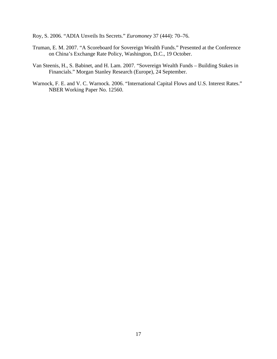Roy, S. 2006. "ADIA Unveils Its Secrets." *Euromoney* 37 (444): 70–76.

- Truman, E. M. 2007. "A Scoreboard for Sovereign Wealth Funds." Presented at the Conference on China's Exchange Rate Policy, Washington, D.C., 19 October.
- Van Steenis, H., S. Babinet, and H. Lam. 2007. "Sovereign Wealth Funds Building Stakes in Financials." Morgan Stanley Research (Europe), 24 September.
- Warnock, F. E. and V. C. Warnock. 2006. "International Capital Flows and U.S. Interest Rates." NBER Working Paper No. 12560.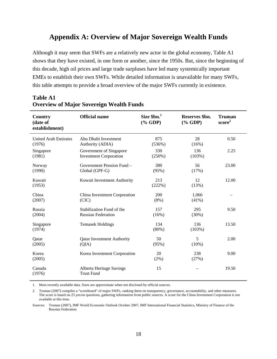## **Appendix A: Overview of Major Sovereign Wealth Funds**

Although it may seem that SWFs are a relatively new actor in the global economy, Table A1 shows that they have existed, in one form or another, since the 1950s. But, since the beginning of this decade, high oil prices and large trade surpluses have led many systemically important EMEs to establish their own SWFs. While detailed information is unavailable for many SWFs, this table attempts to provide a broad overview of the major SWFs currently in existence.

| Country<br>(date of<br>establishment) | <b>Official name</b>                          | Size $$bn.1$<br>$(% \mathbf{GDP})$ | Reserves \$bn.<br>$(\%$ GDP) | Truman<br>score <sup>2</sup> |
|---------------------------------------|-----------------------------------------------|------------------------------------|------------------------------|------------------------------|
| <b>United Arab Emirates</b>           | Abu Dhabi Investment                          | 875                                | 28                           | 0.50                         |
| (1976)                                | Authority (ADIA)                              | (536%)                             | (16%)                        |                              |
| Singapore                             | Government of Singapore                       | 330                                | 136                          | 2.25                         |
| (1981)                                | <b>Investment Corporation</b>                 | (250%)                             | (103%)                       |                              |
| Norway                                | Government Pension Fund -                     | 380                                | 56                           | 23.00                        |
| (1990)                                | Global (GPF-G)                                | (95%)                              | (17%)                        |                              |
| Kuwait<br>(1953)                      | Kuwait Investment Authority                   | 213<br>(222%)                      | 12<br>(13%)                  | 12.00                        |
| China                                 | China Investment Corporation                  | 200                                | 1,066                        |                              |
| (2007)                                | (CIC)                                         | $(8\%)$                            | (41%)                        |                              |
| Russia                                | Stabilization Fund of the                     | 157                                | 295                          | 9.50                         |
| (2004)                                | <b>Russian Federation</b>                     | $(16\%)$                           | (30%)                        |                              |
| Singapore<br>(1974)                   | <b>Temasek Holdings</b>                       | 134<br>(80%)                       | 136<br>(103%)                | 13.50                        |
| Qatar                                 | <b>Qatar Investment Authority</b>             | 50                                 | 5                            | 2.00                         |
| (2005)                                | (QIA)                                         | (95%)                              | $(10\%)$                     |                              |
| Korea<br>(2005)                       | Korea Investment Corporation                  | 20<br>(2%)                         | 238<br>(27%)                 | 9.00                         |
| Canada<br>(1976)                      | Alberta Heritage Savings<br><b>Trust Fund</b> | 15                                 |                              | 19.50                        |

#### **Table A1 Overview of Major Sovereign Wealth Funds**

1. Most recently available data. Sizes are approximate when not disclosed by official sources.

2. Truman (2007) compiles a "scoreboard" of major SWFs, ranking them on transparency, governance, accountability, and other measures. The score is based on 25 yes/no questions, gathering information from public sources. A score for the China Investment Corporation is not available at this time.

Sources: Truman (2007), IMF World Economic Outlook October 2007, IMF International Financial Statistics, Ministry of Finance of the Russian Federation